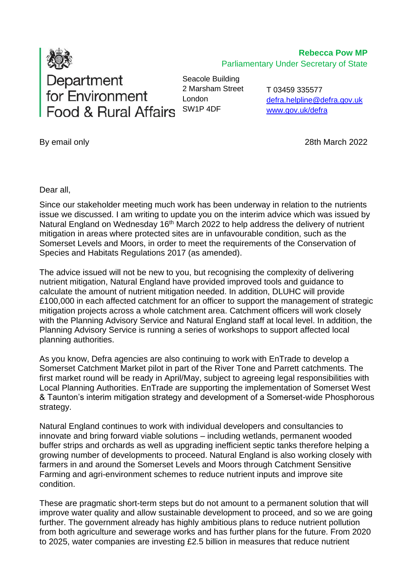

**Rebecca Pow MP** Parliamentary Under Secretary of State

Seacole Building 2 Marsham Street London SW1P 4DF

T 03459 335577 [defra.helpline@defra.gov.uk](mailto:defra.helpline@defra.gov.uk) www.gov.uk/defra

By email only 28th March 2022

Dear all,

Since our stakeholder meeting much work has been underway in relation to the nutrients issue we discussed. I am writing to update you on the interim advice which was issued by Natural England on Wednesday 16<sup>th</sup> March 2022 to help address the delivery of nutrient mitigation in areas where protected sites are in unfavourable condition, such as the Somerset Levels and Moors, in order to meet the requirements of the Conservation of Species and Habitats Regulations 2017 (as amended).

The advice issued will not be new to you, but recognising the complexity of delivering nutrient mitigation, Natural England have provided improved tools and guidance to calculate the amount of nutrient mitigation needed. In addition, DLUHC will provide £100,000 in each affected catchment for an officer to support the management of strategic mitigation projects across a whole catchment area. Catchment officers will work closely with the Planning Advisory Service and Natural England staff at local level. In addition, the Planning Advisory Service is running a series of workshops to support affected local planning authorities.

As you know, Defra agencies are also continuing to work with EnTrade to develop a Somerset Catchment Market pilot in part of the River Tone and Parrett catchments. The first market round will be ready in April/May, subject to agreeing legal responsibilities with Local Planning Authorities. EnTrade are supporting the implementation of Somerset West & Taunton's interim mitigation strategy and development of a Somerset-wide Phosphorous strategy.

Natural England continues to work with individual developers and consultancies to innovate and bring forward viable solutions – including wetlands, permanent wooded buffer strips and orchards as well as upgrading inefficient septic tanks therefore helping a growing number of developments to proceed. Natural England is also working closely with farmers in and around the Somerset Levels and Moors through Catchment Sensitive Farming and agri-environment schemes to reduce nutrient inputs and improve site condition.

These are pragmatic short-term steps but do not amount to a permanent solution that will improve water quality and allow sustainable development to proceed, and so we are going further. The government already has highly ambitious plans to reduce nutrient pollution from both agriculture and sewerage works and has further plans for the future. From 2020 to 2025, water companies are investing £2.5 billion in measures that reduce nutrient